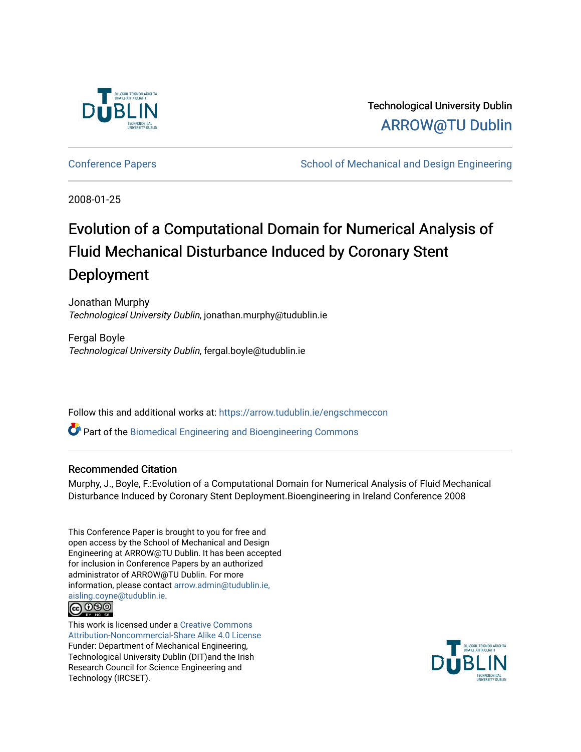

Technological University Dublin [ARROW@TU Dublin](https://arrow.tudublin.ie/) 

[Conference Papers](https://arrow.tudublin.ie/engschmeccon) **School of Mechanical and Design Engineering** School of Mechanical and Design Engineering

2008-01-25

# Evolution of a Computational Domain for Numerical Analysis of Fluid Mechanical Disturbance Induced by Coronary Stent Deployment

Jonathan Murphy Technological University Dublin, jonathan.murphy@tudublin.ie

Fergal Boyle Technological University Dublin, fergal.boyle@tudublin.ie

Follow this and additional works at: [https://arrow.tudublin.ie/engschmeccon](https://arrow.tudublin.ie/engschmeccon?utm_source=arrow.tudublin.ie%2Fengschmeccon%2F22&utm_medium=PDF&utm_campaign=PDFCoverPages) 

Part of the [Biomedical Engineering and Bioengineering Commons](http://network.bepress.com/hgg/discipline/229?utm_source=arrow.tudublin.ie%2Fengschmeccon%2F22&utm_medium=PDF&utm_campaign=PDFCoverPages) 

## Recommended Citation

Murphy, J., Boyle, F.:Evolution of a Computational Domain for Numerical Analysis of Fluid Mechanical Disturbance Induced by Coronary Stent Deployment.Bioengineering in Ireland Conference 2008

This Conference Paper is brought to you for free and open access by the School of Mechanical and Design Engineering at ARROW@TU Dublin. It has been accepted for inclusion in Conference Papers by an authorized administrator of ARROW@TU Dublin. For more information, please contact [arrow.admin@tudublin.ie,](mailto:arrow.admin@tudublin.ie,%20aisling.coyne@tudublin.ie)  [aisling.coyne@tudublin.ie.](mailto:arrow.admin@tudublin.ie,%20aisling.coyne@tudublin.ie)



This work is licensed under a [Creative Commons](http://creativecommons.org/licenses/by-nc-sa/4.0/) [Attribution-Noncommercial-Share Alike 4.0 License](http://creativecommons.org/licenses/by-nc-sa/4.0/) Funder: Department of Mechanical Engineering, Technological University Dublin (DIT)and the Irish Research Council for Science Engineering and Technology (IRCSET).